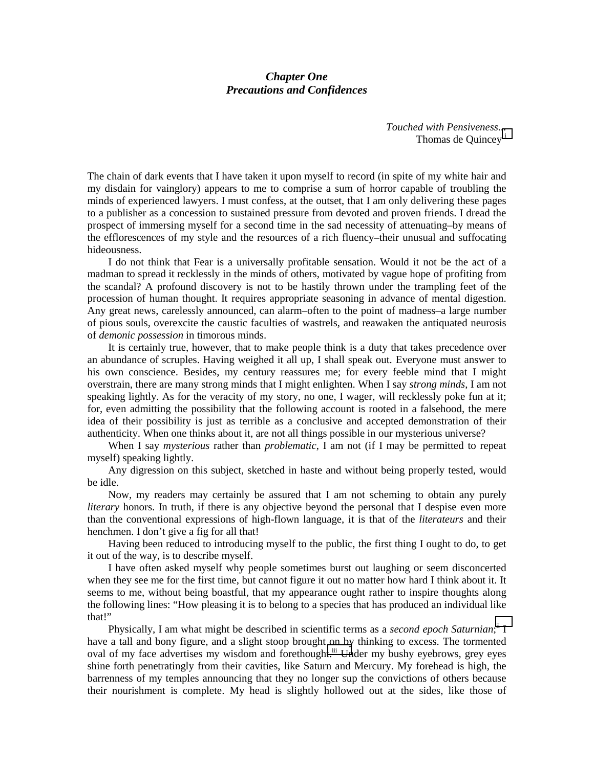## *Chapter One Precautions and Confidences*

*Touched with Pensiveness.[..](#page-5-0)* Thomas de Quincey<sup>i</sup>

The chain of dark events that I have taken it upon myself to record (in spite of my white hair and my disdain for vainglory) appears to me to comprise a sum of horror capable of troubling the minds of experienced lawyers. I must confess, at the outset, that I am only delivering these pages to a publisher as a concession to sustained pressure from devoted and proven friends. I dread the prospect of immersing myself for a second time in the sad necessity of attenuating–by means of the efflorescences of my style and the resources of a rich fluency–their unusual and suffocating hideousness.

I do not think that Fear is a universally profitable sensation. Would it not be the act of a madman to spread it recklessly in the minds of others, motivated by vague hope of profiting from the scandal? A profound discovery is not to be hastily thrown under the trampling feet of the procession of human thought. It requires appropriate seasoning in advance of mental digestion. Any great news, carelessly announced, can alarm–often to the point of madness–a large number of pious souls, overexcite the caustic faculties of wastrels, and reawaken the antiquated neurosis of *demonic possession* in timorous minds.

It is certainly true, however, that to make people think is a duty that takes precedence over an abundance of scruples. Having weighed it all up, I shall speak out. Everyone must answer to his own conscience. Besides, my century reassures me; for every feeble mind that I might overstrain, there are many strong minds that I might enlighten. When I say *strong minds*, I am not speaking lightly. As for the veracity of my story, no one, I wager, will recklessly poke fun at it; for, even admitting the possibility that the following account is rooted in a falsehood, the mere idea of their possibility is just as terrible as a conclusive and accepted demonstration of their authenticity. When one thinks about it, are not all things possible in our mysterious universe?

When I say *mysterious* rather than *problematic*, I am not (if I may be permitted to repeat myself) speaking lightly.

Any digression on this subject, sketched in haste and without being properly tested, would be idle.

Now, my readers may certainly be assured that I am not scheming to obtain any purely *literary* honors. In truth, if there is any objective beyond the personal that I despise even more than the conventional expressions of high-flown language, it is that of the *literateurs* and their henchmen. I don't give a fig for all that!

Having been reduced to introducing myself to the public, the first thing I ought to do, to get it out of the way, is to describe myself.

I have often asked myself why people sometimes burst out laughing or seem disconcerted when they see me for the first time, but cannot figure it out no matter how hard I think about it. It seems to me, without being boastful, that my appearance ought rather to inspire thoughts along the following lines: "How pleasing it is to belong to a species that has produced an individual like that!"

Physically, I am what might be described in scientific terms as a *second epoch Saturnian*;<sup>ii</sup> I have a tall and bony figure, and a slight stoop brought on by thinking to excess. The tormented oval of my face advertises my wisdom and forethought.<sup>iii</sup> Under my bushy eyebrows, grey eyes shine forth penetratingly from their cavities, like Saturn and Mercury. My forehead is high, the barrenness of my temples announcing that they no longer sup the convictions of others because their nourishment is complete. My head is slightly hollowed out at the sides, like those of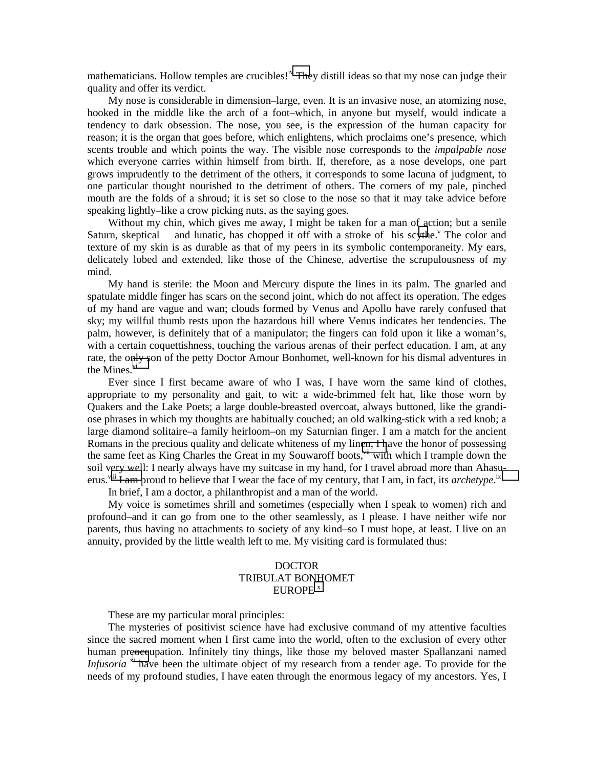mathematicians. Hollow temples are crucibles!<sup>iv</sup> They distill ideas so that my nose can judge their quality and offer its verdict.

My nose is considerable in dimension–large, even. It is an invasive nose, an atomizing nose, hooked in the middle like the arch of a foot–which, in anyone but myself, would indicate a tendency to dark obsession. The nose, you see, is the expression of the human capacity for reason; it is the organ that goes before, which enlightens, which proclaims one's presence, which scents trouble and which points the way. The visible nose corresponds to the *impalpable nose* which everyone carries within himself from birth. If, therefore, as a nose develops, one part grows imprudently to the detriment of the others, it corresponds to some lacuna of judgment, to one particular thought nourished to the detriment of others. The corners of my pale, pinched mouth are the folds of a shroud; it is set so close to the nose so that it may take advice before speaking lightly–like a crow picking nuts, as the saying goes.

Without my chin, which gives me away, I might be taken for a man of action; but a senile Saturn, skeptical and lunatic, has chopped it off with a stroke of his sc[yth](#page-5-0)e.<sup>V</sup> The color and texture of my skin is as durable as that of my peers in its symbolic contemporaneity. My ears, delicately lobed and extended, like those of the Chinese, advertise the scrupulousness of my mind.

My hand is sterile: the Moon and Mercury dispute the lines in its palm. The gnarled and spatulate middle finger has scars on the second joint, which do not affect its operation. The edges of my hand are vague and wan; clouds formed by Venus and Apollo have rarely confused that sky; my willful thumb rests upon the hazardous hill where Venus indicates her tendencies. The palm, however, is definitely that of a manipulator; the fingers can fold upon it like a woman's, with a certain coquettishness, touching the various arenas of their perfect education. I am, at any rate, the o[nly s](#page-5-0)on of the petty Doctor Amour Bonhomet, well-known for his dismal adventures in the Mines.<sup>vi</sup>

Ever since I first became aware of who I was, I have worn the same kind of clothes, appropriate to my personality and gait, to wit: a wide-brimmed felt hat, like those worn by Quakers and the Lake Poets; a large double-breasted overcoat, always buttoned, like the grandiose phrases in which my thoughts are habitually couched; an old walking-stick with a red knob; a large diamond solitaire–a family heirloom–on my Saturnian finger. I am a match for the ancient Romans in the precious quality and delicate whiteness of my lin[en; I h](#page-5-0)ave the honor of possessing the same feet as King Charles the Great in my Souwaroff boots, vii with which I trample down the soil very well: I nearly always have my suitcase in my hand, for I travel abroad more than Ahas[u](#page-5-0)erus.<sup>viii</sup> I am proud to believe that I wear the face of my century, that I am, in fact, its *archetype*.<sup>ix</sup>

In brief, I am a doctor, a philanthropist and a man of the world.

My voice is sometimes shrill and sometimes (especially when I speak to women) rich and profound–and it can go from one to the other seamlessly, as I please. I have neither wife nor parents, thus having no attachments to society of any kind–so I must hope, at least. I live on an annuity, provided by the little wealth left to me. My visiting card is formulated thus:

## DOCTOR TRIBULAT BONHOMET EUROPE<sup>[x](#page-5-0)</sup>

These are my particular moral principles:

The mysteries of positivist science have had exclusive command of my attentive faculties since the sacred moment when I first came into the world, often to the exclusion of every other human pr[eocc](#page-5-0)upation. Infinitely tiny things, like those my beloved master Spallanzani named *Infusoria* <sup>xi</sup> have been the ultimate object of my research from a tender age. To provide for the needs of my profound studies, I have eaten through the enormous legacy of my ancestors. Yes, I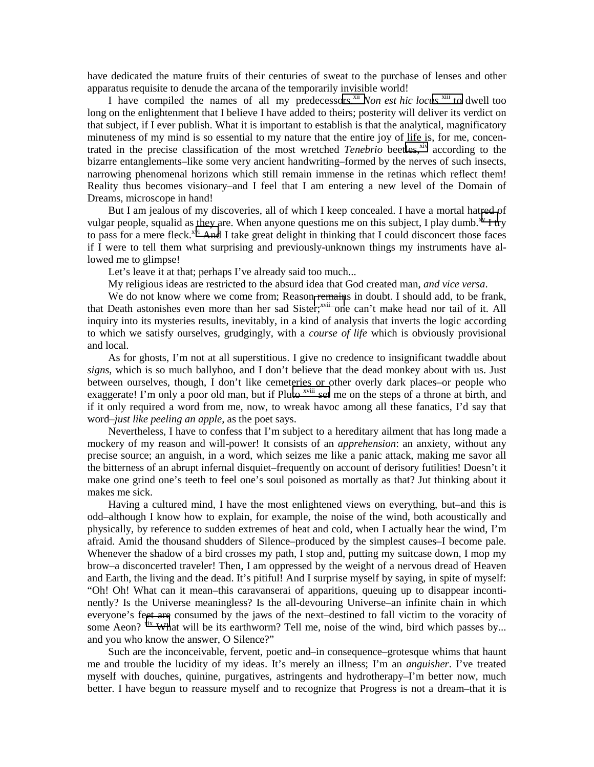have dedicated the mature fruits of their centuries of sweat to the purchase of lenses and other apparatus requisite to denude the arcana of the temporarily invisible world!

I have compiled the names of all my predecessors.<sup>xii</sup> *Non est hic locus* <sup>xiii</sup> to dwell too long on the enlightenment that I believe I have added to theirs; posterity will deliver its verdict on that subject, if I ever publish. What it is important to establish is that the analytical, magnificatory minuteness of my mind is so essential to my nature that the entire joy of life is, for me, concentrated in the precise classification of the most wretched *Tenebrio* beetles,<sup>xiv</sup> according to the bizarre entanglements–like some very ancient handwriting–formed by the nerves of such insects, narrowing phenomenal horizons which still remain immense in the retinas which reflect them! Reality thus becomes visionary–and I feel that I am entering a new level of the Domain of Dreams, microscope in hand!

But I am jealous of my discoveries, all of which I keep concealed. I have a mortal hatred of vulgar people, squalid as they are. When anyone questions me on this subject, I play dumb.<sup>xv</sup> I try to pass for a mere fleck.<sup>xvi</sup> And I take great delight in thinking that I could disconcert those faces if I were to tell them what surprising and previously-unknown things my instruments have allowed me to glimpse!

Let's leave it at that; perhaps I've already said too much...

My religious ideas are restricted to the absurd idea that God created man, *and vice versa*.

We do not know where we come from; Reason [remain](#page-5-0)s in doubt. I should add, to be frank, that Death astonishes even more than her sad Sister;<sup>xvii</sup> one can't make head nor tail of it. All inquiry into its mysteries results, inevitably, in a kind of analysis that inverts the logic according to which we satisfy ourselves, grudgingly, with a *course of life* which is obviously provisional and local.

As for ghosts, I'm not at all superstitious. I give no credence to insignificant twaddle about *signs*, which is so much ballyhoo, and I don't believe that the dead monkey about with us. Just between ourselves, though, I don't like cemeteries or other overly dark places–or people who exaggerate! I'm only a poor old man, but if Pluto <sup>xviii</sup> set me on the steps of a throne at birth, and if it only required a word from me, now, to wreak havoc among all these fanatics, I'd say that word–*just like peeling an apple*, as the poet says.

Nevertheless, I have to confess that I'm subject to a hereditary ailment that has long made a mockery of my reason and will-power! It consists of an *apprehension*: an anxiety, without any precise source; an anguish, in a word, which seizes me like a panic attack, making me savor all the bitterness of an abrupt infernal disquiet–frequently on account of derisory futilities! Doesn't it make one grind one's teeth to feel one's soul poisoned as mortally as that? Jut thinking about it makes me sick.

Having a cultured mind, I have the most enlightened views on everything, but–and this is odd–although I know how to explain, for example, the noise of the wind, both acoustically and physically, by reference to sudden extremes of heat and cold, when I actually hear the wind, I'm afraid. Amid the thousand shudders of Silence–produced by the simplest causes–I become pale. Whenever the shadow of a bird crosses my path, I stop and, putting my suitcase down, I mop my brow–a disconcerted traveler! Then, I am oppressed by the weight of a nervous dread of Heaven and Earth, the living and the dead. It's pitiful! And I surprise myself by saying, in spite of myself: "Oh! Oh! What can it mean–this caravanserai of apparitions, queuing up to disappear incontinently? Is the Universe meaningless? Is the all-devouring Universe–an infinite chain in which everyone's feet are consumed by the jaws of the next–destined to fall victim to the voracity of some Aeon?  $x^x$  What will be its earthworm? Tell me, noise of the wind, bird which passes by... and you who know the answer, O Silence?"

Such are the inconceivable, fervent, poetic and–in consequence–grotesque whims that haunt me and trouble the lucidity of my ideas. It's merely an illness; I'm an *anguisher*. I've treated myself with douches, quinine, purgatives, astringents and hydrotherapy–I'm better now, much better. I have begun to reassure myself and to recognize that Progress is not a dream–that it is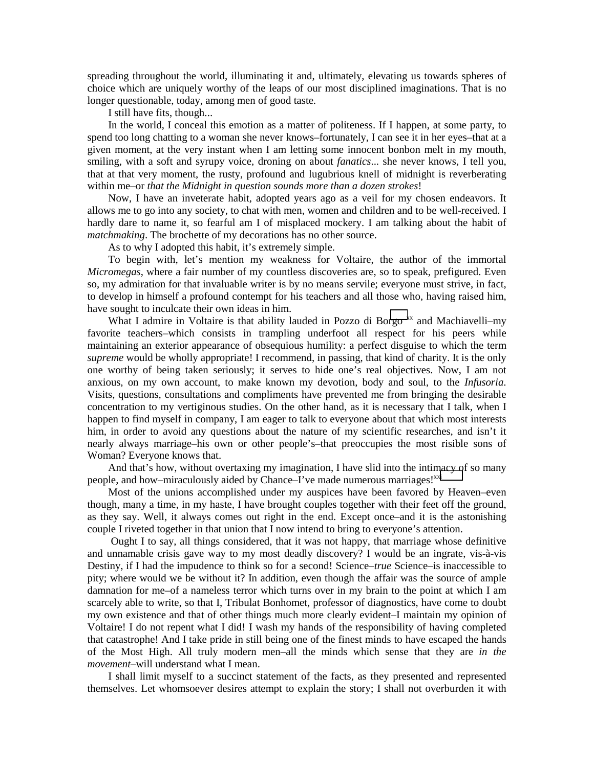spreading throughout the world, illuminating it and, ultimately, elevating us towards spheres of choice which are uniquely worthy of the leaps of our most disciplined imaginations. That is no longer questionable, today, among men of good taste.

I still have fits, though...

In the world, I conceal this emotion as a matter of politeness. If I happen, at some party, to spend too long chatting to a woman she never knows–fortunately, I can see it in her eyes–that at a given moment, at the very instant when I am letting some innocent bonbon melt in my mouth, smiling, with a soft and syrupy voice, droning on about *fanatics*... she never knows, I tell you, that at that very moment, the rusty, profound and lugubrious knell of midnight is reverberating within me–or *that the Midnight in question sounds more than a dozen strokes*!

Now, I have an inveterate habit, adopted years ago as a veil for my chosen endeavors. It allows me to go into any society, to chat with men, women and children and to be well-received. I hardly dare to name it, so fearful am I of misplaced mockery. I am talking about the habit of *matchmaking*. The brochette of my decorations has no other source.

As to why I adopted this habit, it's extremely simple.

To begin with, let's mention my weakness for Voltaire, the author of the immortal *Micromegas*, where a fair number of my countless discoveries are, so to speak, prefigured. Even so, my admiration for that invaluable writer is by no means servile; everyone must strive, in fact, to develop in himself a profound contempt for his teachers and all those who, having raised him, have sought to inculcate their own ideas in him.

What I admire in Voltaire is that ability lauded in Pozzo di Bo[rgo](#page-5-0)  $\frac{xx}{x}$  and Machiavelli–my favorite teachers–which consists in trampling underfoot all respect for his peers while maintaining an exterior appearance of obsequious humility: a perfect disguise to which the term *supreme* would be wholly appropriate! I recommend, in passing, that kind of charity. It is the only one worthy of being taken seriously; it serves to hide one's real objectives. Now, I am not anxious, on my own account, to make known my devotion, body and soul, to the *Infusoria*. Visits, questions, consultations and compliments have prevented me from bringing the desirable concentration to my vertiginous studies. On the other hand, as it is necessary that I talk, when I happen to find myself in company, I am eager to talk to everyone about that which most interests him, in order to avoid any questions about the nature of my scientific researches, and isn't it nearly always marriage–his own or other people's–that preoccupies the most risible sons of Woman? Everyone knows that.

And that's how, without overtaxing my imagination, I have slid into the inti[macy o](#page-5-0)f so many people, and how–miraculously aided by Chance–I've made numerous marriages!<sup>xxi</sup>

Most of the unions accomplished under my auspices have been favored by Heaven–even though, many a time, in my haste, I have brought couples together with their feet off the ground, as they say. Well, it always comes out right in the end. Except once–and it is the astonishing couple I riveted together in that union that I now intend to bring to everyone's attention.

 Ought I to say, all things considered, that it was not happy, that marriage whose definitive and unnamable crisis gave way to my most deadly discovery? I would be an ingrate, vis-à-vis Destiny, if I had the impudence to think so for a second! Science–*true* Science–is inaccessible to pity; where would we be without it? In addition, even though the affair was the source of ample damnation for me–of a nameless terror which turns over in my brain to the point at which I am scarcely able to write, so that I, Tribulat Bonhomet, professor of diagnostics, have come to doubt my own existence and that of other things much more clearly evident–I maintain my opinion of Voltaire! I do not repent what I did! I wash my hands of the responsibility of having completed that catastrophe! And I take pride in still being one of the finest minds to have escaped the hands of the Most High. All truly modern men–all the minds which sense that they are *in the movement*–will understand what I mean.

I shall limit myself to a succinct statement of the facts, as they presented and represented themselves. Let whomsoever desires attempt to explain the story; I shall not overburden it with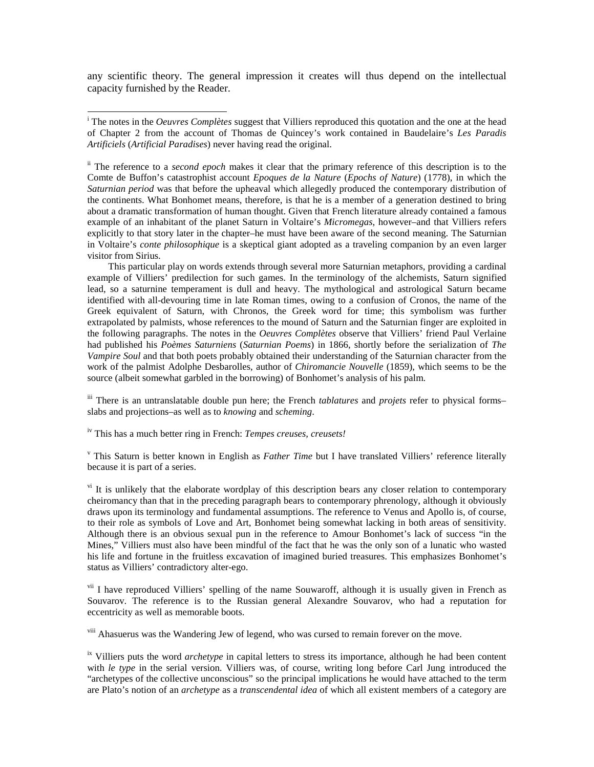any scientific theory. The general impression it creates will thus depend on the intellectual capacity furnished by the Reader.

This particular play on words extends through several more Saturnian metaphors, providing a cardinal example of Villiers' predilection for such games. In the terminology of the alchemists, Saturn signified lead, so a saturnine temperament is dull and heavy. The mythological and astrological Saturn became identified with all-devouring time in late Roman times, owing to a confusion of Cronos, the name of the Greek equivalent of Saturn, with Chronos, the Greek word for time; this symbolism was further extrapolated by palmists, whose references to the mound of Saturn and the Saturnian finger are exploited in the following paragraphs. The notes in the *Oeuvres Complètes* observe that Villiers' friend Paul Verlaine had published his *Poèmes Saturniens* (*Saturnian Poems*) in 1866, shortly before the serialization of *The Vampire Soul* and that both poets probably obtained their understanding of the Saturnian character from the work of the palmist Adolphe Desbarolles, author of *Chiromancie Nouvelle* (1859), which seems to be the source (albeit somewhat garbled in the borrowing) of Bonhomet's analysis of his palm.

iii There is an untranslatable double pun here; the French *tablatures* and *projets* refer to physical forms– slabs and projections–as well as to *knowing* and *scheming*.

iv This has a much better ring in French: *Tempes creuses, creusets!*

 $\overline{a}$ 

v This Saturn is better known in English as *Father Time* but I have translated Villiers' reference literally because it is part of a series.

<sup>vi</sup> It is unlikely that the elaborate wordplay of this description bears any closer relation to contemporary cheiromancy than that in the preceding paragraph bears to contemporary phrenology, although it obviously draws upon its terminology and fundamental assumptions. The reference to Venus and Apollo is, of course, to their role as symbols of Love and Art, Bonhomet being somewhat lacking in both areas of sensitivity. Although there is an obvious sexual pun in the reference to Amour Bonhomet's lack of success "in the Mines," Villiers must also have been mindful of the fact that he was the only son of a lunatic who wasted his life and fortune in the fruitless excavation of imagined buried treasures. This emphasizes Bonhomet's status as Villiers' contradictory alter-ego.

<sup>vii</sup> I have reproduced Villiers' spelling of the name Souwaroff, although it is usually given in French as Souvarov. The reference is to the Russian general Alexandre Souvarov, who had a reputation for eccentricity as well as memorable boots.

<sup>viii</sup> Ahasuerus was the Wandering Jew of legend, who was cursed to remain forever on the move.

ix Villiers puts the word *archetype* in capital letters to stress its importance, although he had been content with *le type* in the serial version. Villiers was, of course, writing long before Carl Jung introduced the "archetypes of the collective unconscious" so the principal implications he would have attached to the term are Plato's notion of an *archetype* as a *transcendental idea* of which all existent members of a category are

<sup>&</sup>lt;sup>i</sup> The notes in the *Oeuvres Complètes* suggest that Villiers reproduced this quotation and the one at the head of Chapter 2 from the account of Thomas de Quincey's work contained in Baudelaire's *Les Paradis Artificiels* (*Artificial Paradises*) never having read the original.

ii The reference to a *second epoch* makes it clear that the primary reference of this description is to the Comte de Buffon's catastrophist account *Epoques de la Nature* (*Epochs of Nature*) (1778), in which the *Saturnian period* was that before the upheaval which allegedly produced the contemporary distribution of the continents. What Bonhomet means, therefore, is that he is a member of a generation destined to bring about a dramatic transformation of human thought. Given that French literature already contained a famous example of an inhabitant of the planet Saturn in Voltaire's *Micromegas*, however–and that Villiers refers explicitly to that story later in the chapter–he must have been aware of the second meaning. The Saturnian in Voltaire's *conte philosophique* is a skeptical giant adopted as a traveling companion by an even larger visitor from Sirius.